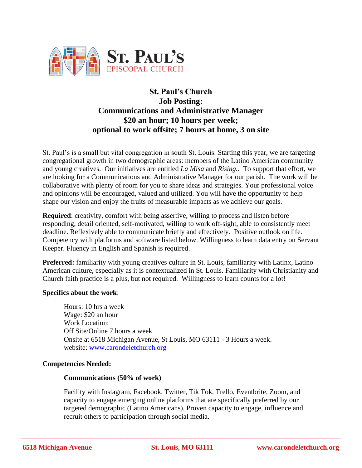

# **St. Paul's Church Job Posting: Communications and Administrative Manager \$20 an hour; 10 hours per week; optional to work offsite; 7 hours at home, 3 on site**

St. Paul's is a small but vital congregation in south St. Louis. Starting this year, we are targeting congregational growth in two demographic areas: members of the Latino American community and young creatives. Our initiatives are entitled *La Misa* and *Rising.*. To support that effort, we are looking for a Communications and Administrative Manager for our parish. The work will be collaborative with plenty of room for you to share ideas and strategies. Your professional voice and opinions will be encouraged, valued and utilized. You will have the opportunity to help shape our vision and enjoy the fruits of measurable impacts as we achieve our goals.

**Required**: creativity, comfort with being assertive, willing to process and listen before responding, detail oriented, self-motivated, willing to work off-sight, able to consistently meet deadline. Reflexively able to communicate briefly and effectively. Positive outlook on life. Competency with platforms and software listed below. Willingness to learn data entry on Servant Keeper. Fluency in English and Spanish is required.

**Preferred:** familiarity with young creatives culture in St. Louis, familiarity with Latinx, Latino American culture, especially as it is contextualized in St. Louis. Familiarity with Christianity and Church faith practice is a plus, but not required. Willingness to learn counts for a lot!

## **Specifics about the work**:

Hours: 10 hrs a week Wage: \$20 an hour Work Location: Off Site/Online 7 hours a week Onsite at 6518 Michigan Avenue, St Louis, MO 63111 - 3 Hours a week. website: [www.carondeletchurch.org](http://www.carondeletchurch.org/)

#### **Competencies Needed:**

#### **Communications (50% of work)**

Facility with Instagram, Facebook, Twitter, Tik Tok, Trello, Eventbrite, Zoom, and capacity to engage emerging online platforms that are specifically preferred by our targeted demographic (Latino Americans). Proven capacity to engage, influence and recruit others to participation through social media.

**\_\_\_\_\_\_\_\_\_\_\_\_\_\_\_\_\_\_\_\_\_\_\_\_\_\_\_\_\_\_\_\_\_\_\_\_\_\_\_\_\_\_\_\_\_\_\_\_\_\_\_\_\_\_\_\_\_\_\_\_\_\_\_\_\_\_\_\_\_\_\_\_\_\_\_\_\_\_\_\_\_\_\_\_\_\_\_\_\_\_**